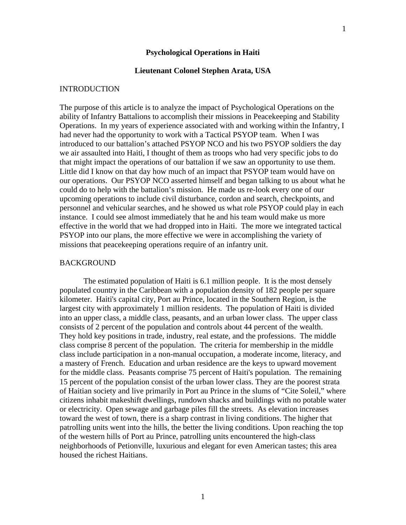# **Psychological Operations in Haiti**

### **Lieutenant Colonel Stephen Arata, USA**

#### INTRODUCTION

The purpose of this article is to analyze the impact of Psychological Operations on the ability of Infantry Battalions to accomplish their missions in Peacekeeping and Stability Operations. In my years of experience associated with and working within the Infantry, I had never had the opportunity to work with a Tactical PSYOP team. When I was introduced to our battalion's attached PSYOP NCO and his two PSYOP soldiers the day we air assaulted into Haiti, I thought of them as troops who had very specific jobs to do that might impact the operations of our battalion if we saw an opportunity to use them. Little did I know on that day how much of an impact that PSYOP team would have on our operations. Our PSYOP NCO asserted himself and began talking to us about what he could do to help with the battalion's mission. He made us re-look every one of our upcoming operations to include civil disturbance, cordon and search, checkpoints, and personnel and vehicular searches, and he showed us what role PSYOP could play in each instance. I could see almost immediately that he and his team would make us more effective in the world that we had dropped into in Haiti. The more we integrated tactical PSYOP into our plans, the more effective we were in accomplishing the variety of missions that peacekeeping operations require of an infantry unit.

### BACKGROUND

The estimated population of Haiti is 6.1 million people. It is the most densely populated country in the Caribbean with a population density of 182 people per square kilometer. Haiti's capital city, Port au Prince, located in the Southern Region, is the largest city with approximately 1 million residents. The population of Haiti is divided into an upper class, a middle class, peasants, and an urban lower class. The upper class consists of 2 percent of the population and controls about 44 percent of the wealth. They hold key positions in trade, industry, real estate, and the professions. The middle class comprise 8 percent of the population. The criteria for membership in the middle class include participation in a non-manual occupation, a moderate income, literacy, and a mastery of French. Education and urban residence are the keys to upward movement for the middle class. Peasants comprise 75 percent of Haiti's population. The remaining 15 percent of the population consist of the urban lower class. They are the poorest strata of Haitian society and live primarily in Port au Prince in the slums of "Cite Soleil," where citizens inhabit makeshift dwellings, rundown shacks and buildings with no potable water or electricity. Open sewage and garbage piles fill the streets. As elevation increases toward the west of town, there is a sharp contrast in living conditions. The higher that patrolling units went into the hills, the better the living conditions. Upon reaching the top of the western hills of Port au Prince, patrolling units encountered the high-class neighborhoods of Petionville, luxurious and elegant for even American tastes; this area housed the richest Haitians.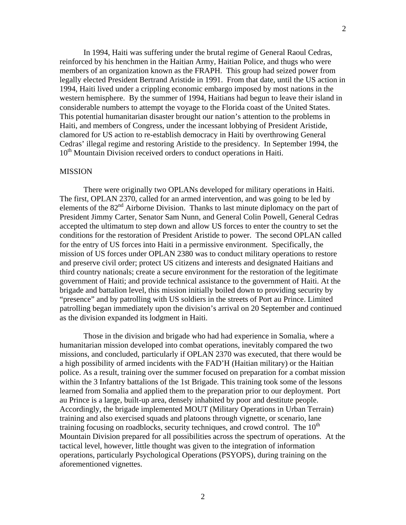In 1994, Haiti was suffering under the brutal regime of General Raoul Cedras, reinforced by his henchmen in the Haitian Army, Haitian Police, and thugs who were members of an organization known as the FRAPH. This group had seized power from legally elected President Bertrand Aristide in 1991. From that date, until the US action in 1994, Haiti lived under a crippling economic embargo imposed by most nations in the western hemisphere. By the summer of 1994, Haitians had begun to leave their island in considerable numbers to attempt the voyage to the Florida coast of the United States. This potential humanitarian disaster brought our nation's attention to the problems in Haiti, and members of Congress, under the incessant lobbying of President Aristide, clamored for US action to re-establish democracy in Haiti by overthrowing General Cedras' illegal regime and restoring Aristide to the presidency. In September 1994, the  $10<sup>th</sup>$  Mountain Division received orders to conduct operations in Haiti.

#### MISSION

There were originally two OPLANs developed for military operations in Haiti. The first, OPLAN 2370, called for an armed intervention, and was going to be led by elements of the 82<sup>nd</sup> Airborne Division. Thanks to last minute diplomacy on the part of President Jimmy Carter, Senator Sam Nunn, and General Colin Powell, General Cedras accepted the ultimatum to step down and allow US forces to enter the country to set the conditions for the restoration of President Aristide to power. The second OPLAN called for the entry of US forces into Haiti in a permissive environment. Specifically, the mission of US forces under OPLAN 2380 was to conduct military operations to restore and preserve civil order; protect US citizens and interests and designated Haitians and third country nationals; create a secure environment for the restoration of the legitimate government of Haiti; and provide technical assistance to the government of Haiti. At the brigade and battalion level, this mission initially boiled down to providing security by "presence" and by patrolling with US soldiers in the streets of Port au Prince. Limited patrolling began immediately upon the division's arrival on 20 September and continued as the division expanded its lodgment in Haiti.

Those in the division and brigade who had had experience in Somalia, where a humanitarian mission developed into combat operations, inevitably compared the two missions, and concluded, particularly if OPLAN 2370 was executed, that there would be a high possibility of armed incidents with the FAD'H (Haitian military) or the Haitian police. As a result, training over the summer focused on preparation for a combat mission within the 3 Infantry battalions of the 1st Brigade. This training took some of the lessons learned from Somalia and applied them to the preparation prior to our deployment. Port au Prince is a large, built-up area, densely inhabited by poor and destitute people. Accordingly, the brigade implemented MOUT (Military Operations in Urban Terrain) training and also exercised squads and platoons through vignette, or scenario, lane training focusing on roadblocks, security techniques, and crowd control. The  $10<sup>th</sup>$ Mountain Division prepared for all possibilities across the spectrum of operations. At the tactical level, however, little thought was given to the integration of information operations, particularly Psychological Operations (PSYOPS), during training on the aforementioned vignettes.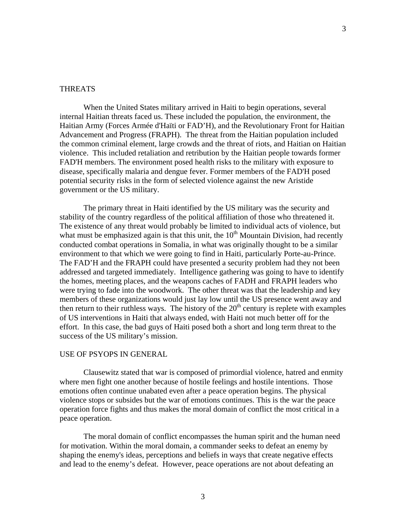# THREATS

When the United States military arrived in Haiti to begin operations, several internal Haitian threats faced us. These included the population, the environment, the Haitian Army (Forces Armée d'Haïti or FAD'H), and the Revolutionary Front for Haitian Advancement and Progress (FRAPH). The threat from the Haitian population included the common criminal element, large crowds and the threat of riots, and Haitian on Haitian violence. This included retaliation and retribution by the Haitian people towards former FAD'H members. The environment posed health risks to the military with exposure to disease, specifically malaria and dengue fever. Former members of the FAD'H posed potential security risks in the form of selected violence against the new Aristide government or the US military.

The primary threat in Haiti identified by the US military was the security and stability of the country regardless of the political affiliation of those who threatened it. The existence of any threat would probably be limited to individual acts of violence, but what must be emphasized again is that this unit, the  $10<sup>th</sup>$  Mountain Division, had recently conducted combat operations in Somalia, in what was originally thought to be a similar environment to that which we were going to find in Haiti, particularly Porte-au-Prince. The FAD'H and the FRAPH could have presented a security problem had they not been addressed and targeted immediately. Intelligence gathering was going to have to identify the homes, meeting places, and the weapons caches of FADH and FRAPH leaders who were trying to fade into the woodwork. The other threat was that the leadership and key members of these organizations would just lay low until the US presence went away and then return to their ruthless ways. The history of the  $20<sup>th</sup>$  century is replete with examples of US interventions in Haiti that always ended, with Haiti not much better off for the effort. In this case, the bad guys of Haiti posed both a short and long term threat to the success of the US military's mission.

## USE OF PSYOPS IN GENERAL

Clausewitz stated that war is composed of primordial violence, hatred and enmity where men fight one another because of hostile feelings and hostile intentions. Those emotions often continue unabated even after a peace operation begins. The physical violence stops or subsides but the war of emotions continues. This is the war the peace operation force fights and thus makes the moral domain of conflict the most critical in a peace operation.

The moral domain of conflict encompasses the human spirit and the human need for motivation. Within the moral domain, a commander seeks to defeat an enemy by shaping the enemy's ideas, perceptions and beliefs in ways that create negative effects and lead to the enemy's defeat. However, peace operations are not about defeating an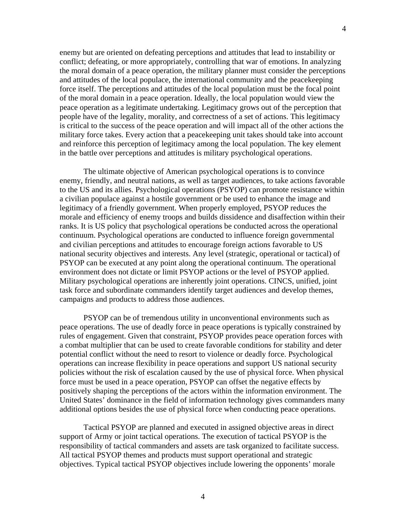enemy but are oriented on defeating perceptions and attitudes that lead to instability or conflict; defeating, or more appropriately, controlling that war of emotions. In analyzing the moral domain of a peace operation, the military planner must consider the perceptions and attitudes of the local populace, the international community and the peacekeeping force itself. The perceptions and attitudes of the local population must be the focal point of the moral domain in a peace operation. Ideally, the local population would view the peace operation as a legitimate undertaking. Legitimacy grows out of the perception that people have of the legality, morality, and correctness of a set of actions. This legitimacy is critical to the success of the peace operation and will impact all of the other actions the military force takes. Every action that a peacekeeping unit takes should take into account and reinforce this perception of legitimacy among the local population. The key element in the battle over perceptions and attitudes is military psychological operations.

The ultimate objective of American psychological operations is to convince enemy, friendly, and neutral nations, as well as target audiences, to take actions favorable to the US and its allies. Psychological operations (PSYOP) can promote resistance within a civilian populace against a hostile government or be used to enhance the image and legitimacy of a friendly government. When properly employed, PSYOP reduces the morale and efficiency of enemy troops and builds dissidence and disaffection within their ranks. It is US policy that psychological operations be conducted across the operational continuum. Psychological operations are conducted to influence foreign governmental and civilian perceptions and attitudes to encourage foreign actions favorable to US national security objectives and interests. Any level (strategic, operational or tactical) of PSYOP can be executed at any point along the operational continuum. The operational environment does not dictate or limit PSYOP actions or the level of PSYOP applied. Military psychological operations are inherently joint operations. CINCS, unified, joint task force and subordinate commanders identify target audiences and develop themes, campaigns and products to address those audiences.

PSYOP can be of tremendous utility in unconventional environments such as peace operations. The use of deadly force in peace operations is typically constrained by rules of engagement. Given that constraint, PSYOP provides peace operation forces with a combat multiplier that can be used to create favorable conditions for stability and deter potential conflict without the need to resort to violence or deadly force. Psychological operations can increase flexibility in peace operations and support US national security policies without the risk of escalation caused by the use of physical force. When physical force must be used in a peace operation, PSYOP can offset the negative effects by positively shaping the perceptions of the actors within the information environment. The United States' dominance in the field of information technology gives commanders many additional options besides the use of physical force when conducting peace operations.

Tactical PSYOP are planned and executed in assigned objective areas in direct support of Army or joint tactical operations. The execution of tactical PSYOP is the responsibility of tactical commanders and assets are task organized to facilitate success. All tactical PSYOP themes and products must support operational and strategic objectives. Typical tactical PSYOP objectives include lowering the opponents' morale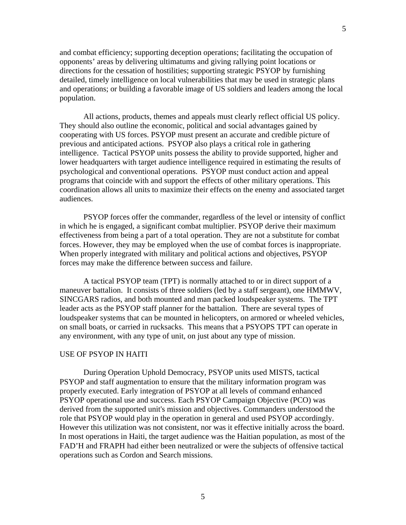and combat efficiency; supporting deception operations; facilitating the occupation of opponents' areas by delivering ultimatums and giving rallying point locations or directions for the cessation of hostilities; supporting strategic PSYOP by furnishing detailed, timely intelligence on local vulnerabilities that may be used in strategic plans and operations; or building a favorable image of US soldiers and leaders among the local population.

All actions, products, themes and appeals must clearly reflect official US policy. They should also outline the economic, political and social advantages gained by cooperating with US forces. PSYOP must present an accurate and credible picture of previous and anticipated actions. PSYOP also plays a critical role in gathering intelligence. Tactical PSYOP units possess the ability to provide supported, higher and lower headquarters with target audience intelligence required in estimating the results of psychological and conventional operations. PSYOP must conduct action and appeal programs that coincide with and support the effects of other military operations. This coordination allows all units to maximize their effects on the enemy and associated target audiences.

PSYOP forces offer the commander, regardless of the level or intensity of conflict in which he is engaged, a significant combat multiplier. PSYOP derive their maximum effectiveness from being a part of a total operation. They are not a substitute for combat forces. However, they may be employed when the use of combat forces is inappropriate. When properly integrated with military and political actions and objectives, PSYOP forces may make the difference between success and failure.

A tactical PSYOP team (TPT) is normally attached to or in direct support of a maneuver battalion. It consists of three soldiers (led by a staff sergeant), one HMMWV, SINCGARS radios, and both mounted and man packed loudspeaker systems. The TPT leader acts as the PSYOP staff planner for the battalion. There are several types of loudspeaker systems that can be mounted in helicopters, on armored or wheeled vehicles, on small boats, or carried in rucksacks. This means that a PSYOPS TPT can operate in any environment, with any type of unit, on just about any type of mission.

# USE OF PSYOP IN HAITI

During Operation Uphold Democracy, PSYOP units used MISTS, tactical PSYOP and staff augmentation to ensure that the military information program was properly executed. Early integration of PSYOP at all levels of command enhanced PSYOP operational use and success. Each PSYOP Campaign Objective (PCO) was derived from the supported unit's mission and objectives. Commanders understood the role that PSYOP would play in the operation in general and used PSYOP accordingly. However this utilization was not consistent, nor was it effective initially across the board. In most operations in Haiti, the target audience was the Haitian population, as most of the FAD'H and FRAPH had either been neutralized or were the subjects of offensive tactical operations such as Cordon and Search missions.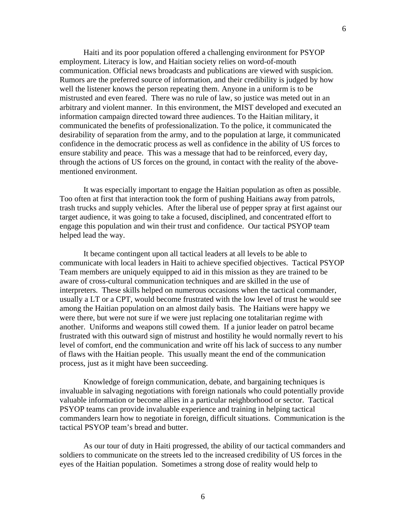Haiti and its poor population offered a challenging environment for PSYOP employment. Literacy is low, and Haitian society relies on word-of-mouth communication. Official news broadcasts and publications are viewed with suspicion. Rumors are the preferred source of information, and their credibility is judged by how well the listener knows the person repeating them. Anyone in a uniform is to be mistrusted and even feared. There was no rule of law, so justice was meted out in an arbitrary and violent manner. In this environment, the MIST developed and executed an information campaign directed toward three audiences. To the Haitian military, it communicated the benefits of professionalization. To the police, it communicated the desirability of separation from the army, and to the population at large, it communicated confidence in the democratic process as well as confidence in the ability of US forces to ensure stability and peace. This was a message that had to be reinforced, every day, through the actions of US forces on the ground, in contact with the reality of the abovementioned environment.

It was especially important to engage the Haitian population as often as possible. Too often at first that interaction took the form of pushing Haitians away from patrols, trash trucks and supply vehicles. After the liberal use of pepper spray at first against our target audience, it was going to take a focused, disciplined, and concentrated effort to engage this population and win their trust and confidence. Our tactical PSYOP team helped lead the way.

It became contingent upon all tactical leaders at all levels to be able to communicate with local leaders in Haiti to achieve specified objectives. Tactical PSYOP Team members are uniquely equipped to aid in this mission as they are trained to be aware of cross-cultural communication techniques and are skilled in the use of interpreters. These skills helped on numerous occasions when the tactical commander, usually a LT or a CPT, would become frustrated with the low level of trust he would see among the Haitian population on an almost daily basis. The Haitians were happy we were there, but were not sure if we were just replacing one totalitarian regime with another. Uniforms and weapons still cowed them. If a junior leader on patrol became frustrated with this outward sign of mistrust and hostility he would normally revert to his level of comfort, end the communication and write off his lack of success to any number of flaws with the Haitian people. This usually meant the end of the communication process, just as it might have been succeeding.

Knowledge of foreign communication, debate, and bargaining techniques is invaluable in salvaging negotiations with foreign nationals who could potentially provide valuable information or become allies in a particular neighborhood or sector. Tactical PSYOP teams can provide invaluable experience and training in helping tactical commanders learn how to negotiate in foreign, difficult situations. Communication is the tactical PSYOP team's bread and butter.

As our tour of duty in Haiti progressed, the ability of our tactical commanders and soldiers to communicate on the streets led to the increased credibility of US forces in the eyes of the Haitian population. Sometimes a strong dose of reality would help to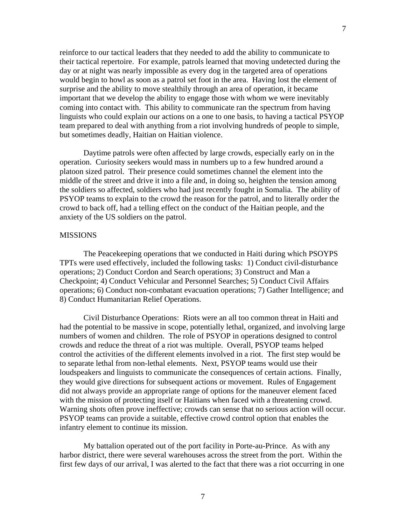reinforce to our tactical leaders that they needed to add the ability to communicate to their tactical repertoire. For example, patrols learned that moving undetected during the day or at night was nearly impossible as every dog in the targeted area of operations would begin to howl as soon as a patrol set foot in the area. Having lost the element of surprise and the ability to move stealthily through an area of operation, it became important that we develop the ability to engage those with whom we were inevitably coming into contact with. This ability to communicate ran the spectrum from having linguists who could explain our actions on a one to one basis, to having a tactical PSYOP team prepared to deal with anything from a riot involving hundreds of people to simple, but sometimes deadly, Haitian on Haitian violence.

Daytime patrols were often affected by large crowds, especially early on in the operation. Curiosity seekers would mass in numbers up to a few hundred around a platoon sized patrol. Their presence could sometimes channel the element into the middle of the street and drive it into a file and, in doing so, heighten the tension among the soldiers so affected, soldiers who had just recently fought in Somalia. The ability of PSYOP teams to explain to the crowd the reason for the patrol, and to literally order the crowd to back off, had a telling effect on the conduct of the Haitian people, and the anxiety of the US soldiers on the patrol.

#### MISSIONS

The Peacekeeping operations that we conducted in Haiti during which PSOYPS TPTs were used effectively, included the following tasks: 1) Conduct civil-disturbance operations; 2) Conduct Cordon and Search operations; 3) Construct and Man a Checkpoint; 4) Conduct Vehicular and Personnel Searches; 5) Conduct Civil Affairs operations; 6) Conduct non-combatant evacuation operations; 7) Gather Intelligence; and 8) Conduct Humanitarian Relief Operations.

Civil Disturbance Operations: Riots were an all too common threat in Haiti and had the potential to be massive in scope, potentially lethal, organized, and involving large numbers of women and children. The role of PSYOP in operations designed to control crowds and reduce the threat of a riot was multiple. Overall, PSYOP teams helped control the activities of the different elements involved in a riot. The first step would be to separate lethal from non-lethal elements. Next, PSYOP teams would use their loudspeakers and linguists to communicate the consequences of certain actions. Finally, they would give directions for subsequent actions or movement. Rules of Engagement did not always provide an appropriate range of options for the maneuver element faced with the mission of protecting itself or Haitians when faced with a threatening crowd. Warning shots often prove ineffective; crowds can sense that no serious action will occur. PSYOP teams can provide a suitable, effective crowd control option that enables the infantry element to continue its mission.

My battalion operated out of the port facility in Porte-au-Prince. As with any harbor district, there were several warehouses across the street from the port. Within the first few days of our arrival, I was alerted to the fact that there was a riot occurring in one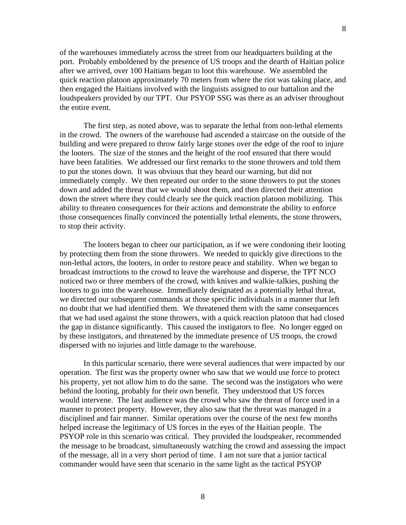of the warehouses immediately across the street from our headquarters building at the port. Probably emboldened by the presence of US troops and the dearth of Haitian police after we arrived, over 100 Haitians began to loot this warehouse. We assembled the quick reaction platoon approximately 70 meters from where the riot was taking place, and then engaged the Haitians involved with the linguists assigned to our battalion and the loudspeakers provided by our TPT. Our PSYOP SSG was there as an adviser throughout the entire event.

The first step, as noted above, was to separate the lethal from non-lethal elements in the crowd. The owners of the warehouse had ascended a staircase on the outside of the building and were prepared to throw fairly large stones over the edge of the roof to injure the looters. The size of the stones and the height of the roof ensured that there would have been fatalities. We addressed our first remarks to the stone throwers and told them to put the stones down. It was obvious that they heard our warning, but did not immediately comply. We then repeated our order to the stone throwers to put the stones down and added the threat that we would shoot them, and then directed their attention down the street where they could clearly see the quick reaction platoon mobilizing. This ability to threaten consequences for their actions and demonstrate the ability to enforce those consequences finally convinced the potentially lethal elements, the stone throwers, to stop their activity.

The looters began to cheer our participation, as if we were condoning their looting by protecting them from the stone throwers. We needed to quickly give directions to the non-lethal actors, the looters, in order to restore peace and stability. When we began to broadcast instructions to the crowd to leave the warehouse and disperse, the TPT NCO noticed two or three members of the crowd, with knives and walkie-talkies, pushing the looters to go into the warehouse. Immediately designated as a potentially lethal threat, we directed our subsequent commands at those specific individuals in a manner that left no doubt that we had identified them. We threatened them with the same consequences that we had used against the stone throwers, with a quick reaction platoon that had closed the gap in distance significantly. This caused the instigators to flee. No longer egged on by these instigators, and threatened by the immediate presence of US troops, the crowd dispersed with no injuries and little damage to the warehouse.

In this particular scenario, there were several audiences that were impacted by our operation. The first was the property owner who saw that we would use force to protect his property, yet not allow him to do the same. The second was the instigators who were behind the looting, probably for their own benefit. They understood that US forces would intervene. The last audience was the crowd who saw the threat of force used in a manner to protect property. However, they also saw that the threat was managed in a disciplined and fair manner. Similar operations over the course of the next few months helped increase the legitimacy of US forces in the eyes of the Haitian people. The PSYOP role in this scenario was critical. They provided the loudspeaker, recommended the message to be broadcast, simultaneously watching the crowd and assessing the impact of the message, all in a very short period of time. I am not sure that a junior tactical commander would have seen that scenario in the same light as the tactical PSYOP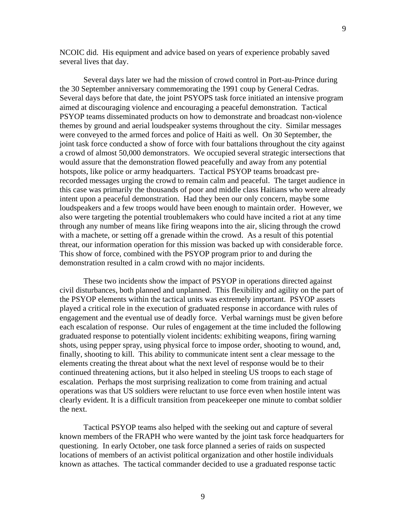NCOIC did. His equipment and advice based on years of experience probably saved several lives that day.

Several days later we had the mission of crowd control in Port-au-Prince during the 30 September anniversary commemorating the 1991 coup by General Cedras. Several days before that date, the joint PSYOPS task force initiated an intensive program aimed at discouraging violence and encouraging a peaceful demonstration. Tactical PSYOP teams disseminated products on how to demonstrate and broadcast non-violence themes by ground and aerial loudspeaker systems throughout the city. Similar messages were conveyed to the armed forces and police of Haiti as well. On 30 September, the joint task force conducted a show of force with four battalions throughout the city against a crowd of almost 50,000 demonstrators. We occupied several strategic intersections that would assure that the demonstration flowed peacefully and away from any potential hotspots, like police or army headquarters. Tactical PSYOP teams broadcast prerecorded messages urging the crowd to remain calm and peaceful. The target audience in this case was primarily the thousands of poor and middle class Haitians who were already intent upon a peaceful demonstration. Had they been our only concern, maybe some loudspeakers and a few troops would have been enough to maintain order. However, we also were targeting the potential troublemakers who could have incited a riot at any time through any number of means like firing weapons into the air, slicing through the crowd with a machete, or setting off a grenade within the crowd. As a result of this potential threat, our information operation for this mission was backed up with considerable force. This show of force, combined with the PSYOP program prior to and during the demonstration resulted in a calm crowd with no major incidents.

These two incidents show the impact of PSYOP in operations directed against civil disturbances, both planned and unplanned. This flexibility and agility on the part of the PSYOP elements within the tactical units was extremely important. PSYOP assets played a critical role in the execution of graduated response in accordance with rules of engagement and the eventual use of deadly force. Verbal warnings must be given before each escalation of response. Our rules of engagement at the time included the following graduated response to potentially violent incidents: exhibiting weapons, firing warning shots, using pepper spray, using physical force to impose order, shooting to wound, and, finally, shooting to kill. This ability to communicate intent sent a clear message to the elements creating the threat about what the next level of response would be to their continued threatening actions, but it also helped in steeling US troops to each stage of escalation. Perhaps the most surprising realization to come from training and actual operations was that US soldiers were reluctant to use force even when hostile intent was clearly evident. It is a difficult transition from peacekeeper one minute to combat soldier the next.

Tactical PSYOP teams also helped with the seeking out and capture of several known members of the FRAPH who were wanted by the joint task force headquarters for questioning. In early October, one task force planned a series of raids on suspected locations of members of an activist political organization and other hostile individuals known as attaches. The tactical commander decided to use a graduated response tactic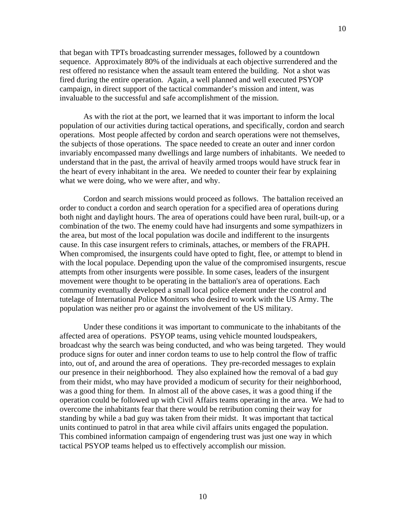that began with TPTs broadcasting surrender messages, followed by a countdown sequence. Approximately 80% of the individuals at each objective surrendered and the rest offered no resistance when the assault team entered the building. Not a shot was fired during the entire operation. Again, a well planned and well executed PSYOP campaign, in direct support of the tactical commander's mission and intent, was invaluable to the successful and safe accomplishment of the mission.

As with the riot at the port, we learned that it was important to inform the local population of our activities during tactical operations, and specifically, cordon and search operations. Most people affected by cordon and search operations were not themselves, the subjects of those operations. The space needed to create an outer and inner cordon invariably encompassed many dwellings and large numbers of inhabitants. We needed to understand that in the past, the arrival of heavily armed troops would have struck fear in the heart of every inhabitant in the area. We needed to counter their fear by explaining what we were doing, who we were after, and why.

Cordon and search missions would proceed as follows. The battalion received an order to conduct a cordon and search operation for a specified area of operations during both night and daylight hours. The area of operations could have been rural, built-up, or a combination of the two. The enemy could have had insurgents and some sympathizers in the area, but most of the local population was docile and indifferent to the insurgents cause. In this case insurgent refers to criminals, attaches, or members of the FRAPH. When compromised, the insurgents could have opted to fight, flee, or attempt to blend in with the local populace. Depending upon the value of the compromised insurgents, rescue attempts from other insurgents were possible. In some cases, leaders of the insurgent movement were thought to be operating in the battalion's area of operations. Each community eventually developed a small local police element under the control and tutelage of International Police Monitors who desired to work with the US Army. The population was neither pro or against the involvement of the US military.

Under these conditions it was important to communicate to the inhabitants of the affected area of operations. PSYOP teams, using vehicle mounted loudspeakers, broadcast why the search was being conducted, and who was being targeted. They would produce signs for outer and inner cordon teams to use to help control the flow of traffic into, out of, and around the area of operations. They pre-recorded messages to explain our presence in their neighborhood. They also explained how the removal of a bad guy from their midst, who may have provided a modicum of security for their neighborhood, was a good thing for them. In almost all of the above cases, it was a good thing if the operation could be followed up with Civil Affairs teams operating in the area. We had to overcome the inhabitants fear that there would be retribution coming their way for standing by while a bad guy was taken from their midst. It was important that tactical units continued to patrol in that area while civil affairs units engaged the population. This combined information campaign of engendering trust was just one way in which tactical PSYOP teams helped us to effectively accomplish our mission.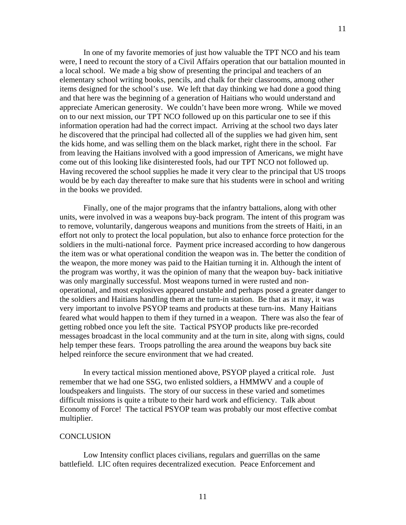In one of my favorite memories of just how valuable the TPT NCO and his team were, I need to recount the story of a Civil Affairs operation that our battalion mounted in a local school. We made a big show of presenting the principal and teachers of an elementary school writing books, pencils, and chalk for their classrooms, among other items designed for the school's use. We left that day thinking we had done a good thing and that here was the beginning of a generation of Haitians who would understand and appreciate American generosity. We couldn't have been more wrong. While we moved on to our next mission, our TPT NCO followed up on this particular one to see if this information operation had had the correct impact. Arriving at the school two days later he discovered that the principal had collected all of the supplies we had given him, sent the kids home, and was selling them on the black market, right there in the school. Far from leaving the Haitians involved with a good impression of Americans, we might have come out of this looking like disinterested fools, had our TPT NCO not followed up. Having recovered the school supplies he made it very clear to the principal that US troops would be by each day thereafter to make sure that his students were in school and writing in the books we provided.

Finally, one of the major programs that the infantry battalions, along with other units, were involved in was a weapons buy-back program. The intent of this program was to remove, voluntarily, dangerous weapons and munitions from the streets of Haiti, in an effort not only to protect the local population, but also to enhance force protection for the soldiers in the multi-national force. Payment price increased according to how dangerous the item was or what operational condition the weapon was in. The better the condition of the weapon, the more money was paid to the Haitian turning it in. Although the intent of the program was worthy, it was the opinion of many that the weapon buy- back initiative was only marginally successful. Most weapons turned in were rusted and nonoperational, and most explosives appeared unstable and perhaps posed a greater danger to the soldiers and Haitians handling them at the turn-in station. Be that as it may, it was very important to involve PSYOP teams and products at these turn-ins. Many Haitians feared what would happen to them if they turned in a weapon. There was also the fear of getting robbed once you left the site. Tactical PSYOP products like pre-recorded messages broadcast in the local community and at the turn in site, along with signs, could help temper these fears. Troops patrolling the area around the weapons buy back site helped reinforce the secure environment that we had created.

In every tactical mission mentioned above, PSYOP played a critical role. Just remember that we had one SSG, two enlisted soldiers, a HMMWV and a couple of loudspeakers and linguists. The story of our success in these varied and sometimes difficult missions is quite a tribute to their hard work and efficiency. Talk about Economy of Force! The tactical PSYOP team was probably our most effective combat multiplier.

### **CONCLUSION**

Low Intensity conflict places civilians, regulars and guerrillas on the same battlefield. LIC often requires decentralized execution. Peace Enforcement and